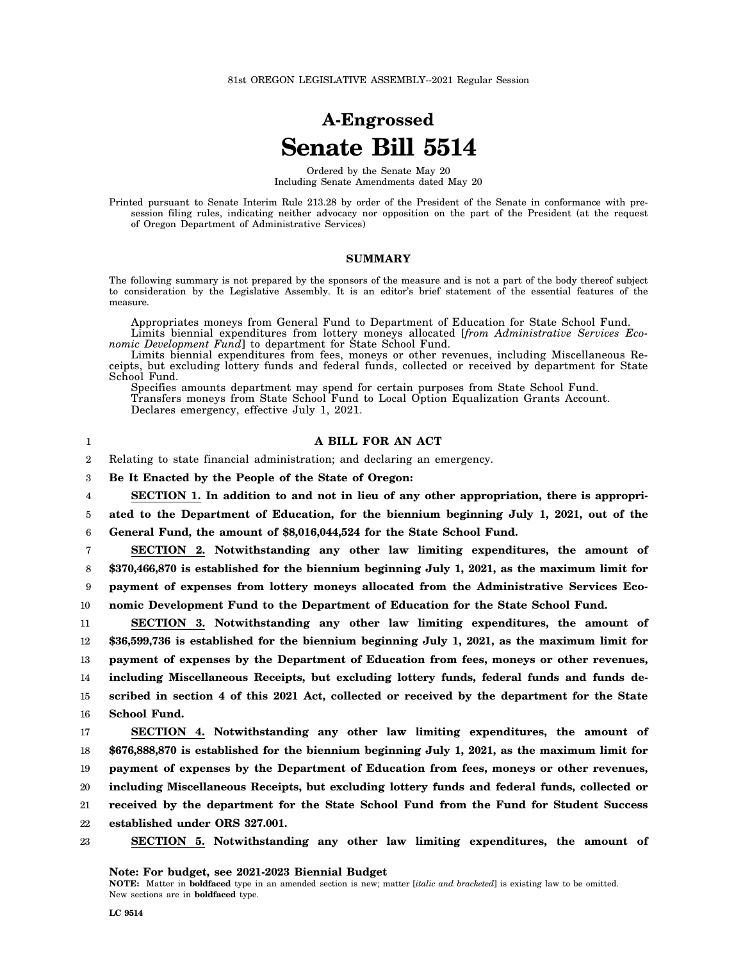# **A-Engrossed Senate Bill 5514**

Ordered by the Senate May 20 Including Senate Amendments dated May 20

Printed pursuant to Senate Interim Rule 213.28 by order of the President of the Senate in conformance with presession filing rules, indicating neither advocacy nor opposition on the part of the President (at the request of Oregon Department of Administrative Services)

### **SUMMARY**

The following summary is not prepared by the sponsors of the measure and is not a part of the body thereof subject to consideration by the Legislative Assembly. It is an editor's brief statement of the essential features of the measure.

Appropriates moneys from General Fund to Department of Education for State School Fund. Limits biennial expenditures from lottery moneys allocated [*from Administrative Services Eco-*

*nomic Development Fund*] to department for State School Fund. Limits biennial expenditures from fees, moneys or other revenues, including Miscellaneous Receipts, but excluding lottery funds and federal funds, collected or received by department for State School Fund.

Specifies amounts department may spend for certain purposes from State School Fund. Transfers moneys from State School Fund to Local Option Equalization Grants Account. Declares emergency, effective July 1, 2021.

1

## **A BILL FOR AN ACT**

2 Relating to state financial administration; and declaring an emergency.

3 **Be It Enacted by the People of the State of Oregon:**

4 **SECTION 1. In addition to and not in lieu of any other appropriation, there is appropri-**

5 **ated to the Department of Education, for the biennium beginning July 1, 2021, out of the**

6 **General Fund, the amount of \$8,016,044,524 for the State School Fund.**

7 **SECTION 2. Notwithstanding any other law limiting expenditures, the amount of**

8 **\$370,466,870 is established for the biennium beginning July 1, 2021, as the maximum limit for**

9 **payment of expenses from lottery moneys allocated from the Administrative Services Eco-**

10 **nomic Development Fund to the Department of Education for the State School Fund.**

11 12 13 14 15 16 **SECTION 3. Notwithstanding any other law limiting expenditures, the amount of \$36,599,736 is established for the biennium beginning July 1, 2021, as the maximum limit for payment of expenses by the Department of Education from fees, moneys or other revenues, including Miscellaneous Receipts, but excluding lottery funds, federal funds and funds described in section 4 of this 2021 Act, collected or received by the department for the State School Fund.**

17 18 19 20 21 22 **SECTION 4. Notwithstanding any other law limiting expenditures, the amount of \$676,888,870 is established for the biennium beginning July 1, 2021, as the maximum limit for payment of expenses by the Department of Education from fees, moneys or other revenues, including Miscellaneous Receipts, but excluding lottery funds and federal funds, collected or received by the department for the State School Fund from the Fund for Student Success established under ORS 327.001.**

23 **SECTION 5. Notwithstanding any other law limiting expenditures, the amount of**

**NOTE:** Matter in **boldfaced** type in an amended section is new; matter [*italic and bracketed*] is existing law to be omitted. New sections are in **boldfaced** type.